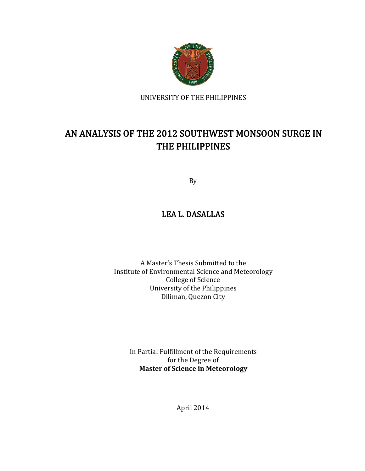

UNIVERSITY OF THE PHILIPPINES

## AN ANALYSIS OF THE 2012 SOUTHWEST MONSOON SURGE IN THE PHILIPPINES

By

## LEA L. DASALLAS

A Master's Thesis Submitted to the Institute of Environmental Science and Meteorology College of Science University of the Philippines Diliman, Quezon City

In Partial Fulfillment of the Requirements for the Degree of **Master of Science in Meteorology**

April 2014